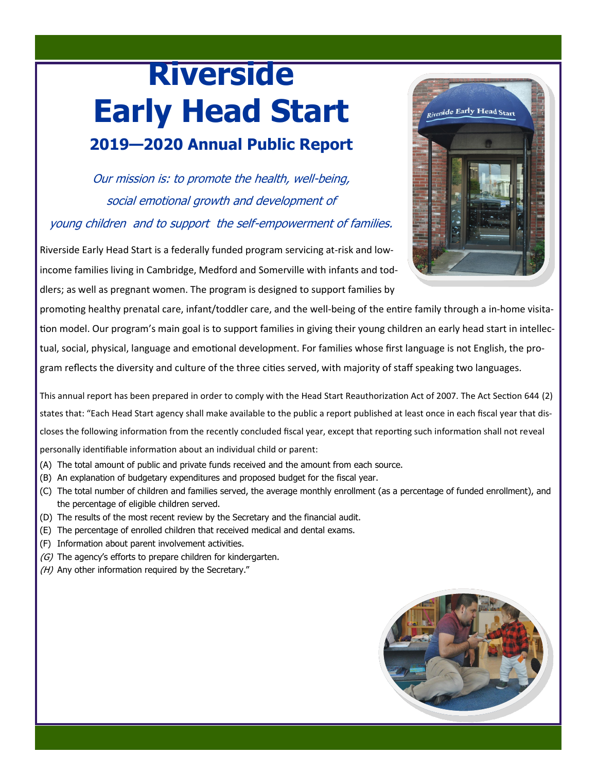# **Riverside Early Head Start 2019—2020 Annual Public Report**

Our mission is: to promote the health, well-being, social emotional growth and development of young children and to support the self-empowerment of families.

Riverside Early Head Start is a federally funded program servicing at-risk and lowincome families living in Cambridge, Medford and Somerville with infants and toddlers; as well as pregnant women. The program is designed to support families by

promoting healthy prenatal care, infant/toddler care, and the well-being of the entire family through a in-home visitation model. Our program's main goal is to support families in giving their young children an early head start in intellectual, social, physical, language and emotional development. For families whose first language is not English, the program reflects the diversity and culture of the three cities served, with majority of staff speaking two languages.

This annual report has been prepared in order to comply with the Head Start Reauthorization Act of 2007. The Act Section 644 (2) states that: "Each Head Start agency shall make available to the public a report published at least once in each fiscal year that discloses the following information from the recently concluded fiscal year, except that reporting such information shall not reveal personally identifiable information about an individual child or parent:

- (A) The total amount of public and private funds received and the amount from each source.
- (B) An explanation of budgetary expenditures and proposed budget for the fiscal year.
- (C) The total number of children and families served, the average monthly enrollment (as a percentage of funded enrollment), and the percentage of eligible children served.
- (D) The results of the most recent review by the Secretary and the financial audit.
- (E) The percentage of enrolled children that received medical and dental exams.
- (F) Information about parent involvement activities.
- $(G)$  The agency's efforts to prepare children for kindergarten.
- (H) Any other information required by the Secretary."



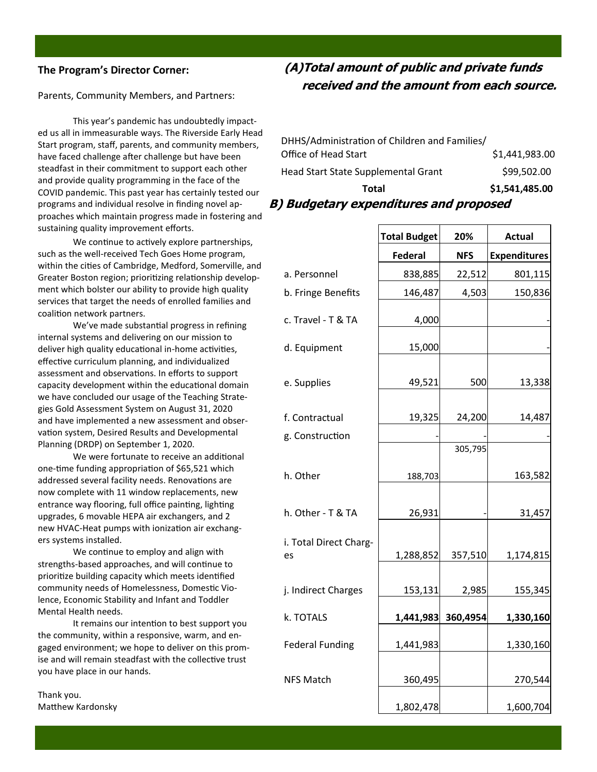#### **The Program's Director Corner:**

Parents, Community Members, and Partners:

This year's pandemic has undoubtedly impacted us all in immeasurable ways. The Riverside Early Head Start program, staff, parents, and community members, have faced challenge after challenge but have been steadfast in their commitment to support each other and provide quality programming in the face of the COVID pandemic. This past year has certainly tested our programs and individual resolve in finding novel approaches which maintain progress made in fostering and sustaining quality improvement efforts.

We continue to actively explore partnerships, such as the well-received Tech Goes Home program, within the cities of Cambridge, Medford, Somerville, and Greater Boston region; prioritizing relationship development which bolster our ability to provide high quality services that target the needs of enrolled families and coalition network partners.

We've made substantial progress in refining internal systems and delivering on our mission to deliver high quality educational in-home activities, effective curriculum planning, and individualized assessment and observations. In efforts to support capacity development within the educational domain we have concluded our usage of the Teaching Strategies Gold Assessment System on August 31, 2020 and have implemented a new assessment and observation system, Desired Results and Developmental Planning (DRDP) on September 1, 2020.

We were fortunate to receive an additional one-time funding appropriation of \$65,521 which addressed several facility needs. Renovations are now complete with 11 window replacements, new entrance way flooring, full office painting, lighting upgrades, 6 movable HEPA air exchangers, and 2 new HVAC-Heat pumps with ionization air exchangers systems installed.

We continue to employ and align with strengths-based approaches, and will continue to prioritize building capacity which meets identified community needs of Homelessness, Domestic Violence, Economic Stability and Infant and Toddler Mental Health needs.

It remains our intention to best support you the community, within a responsive, warm, and engaged environment; we hope to deliver on this promise and will remain steadfast with the collective trust you have place in our hands.

Thank you. Matthew Kardonsky

## **(A)Total amount of public and private funds received and the amount from each source.**

| Total                                         | \$1,541,485.00 |
|-----------------------------------------------|----------------|
| Head Start State Supplemental Grant           | \$99,502.00    |
| Office of Head Start                          | \$1,441,983.00 |
| DHHS/Administration of Children and Families/ |                |

#### **B) Budgetary expenditures and proposed**

|                              | <b>Total Budget</b> | 20%        | <b>Actual</b>       |
|------------------------------|---------------------|------------|---------------------|
|                              | <b>Federal</b>      | <b>NFS</b> | <b>Expenditures</b> |
| a. Personnel                 | 838,885             | 22,512     | 801,115             |
| b. Fringe Benefits           | 146,487             | 4,503      | 150,836             |
| c. Travel - T & TA           | 4,000               |            |                     |
| d. Equipment                 | 15,000              |            |                     |
| e. Supplies                  | 49,521              | 500        | 13,338              |
| f. Contractual               | 19,325              | 24,200     | 14,487              |
| g. Construction              |                     |            |                     |
|                              |                     | 305,795    |                     |
| h. Other                     | 188,703             |            | 163,582             |
| h. Other - T & TA            | 26,931              |            | 31,457              |
| i. Total Direct Charg-<br>es | 1,288,852           | 357,510    | 1,174,815           |
| j. Indirect Charges          | 153,131             | 2,985      | 155,345             |
| k. TOTALS                    | 1,441,983           | 360,4954   | 1,330,160           |
| <b>Federal Funding</b>       | 1,441,983           |            | 1,330,160           |
| <b>NFS Match</b>             | 360,495             |            | 270,544             |
|                              | 1,802,478           |            | 1,600,704           |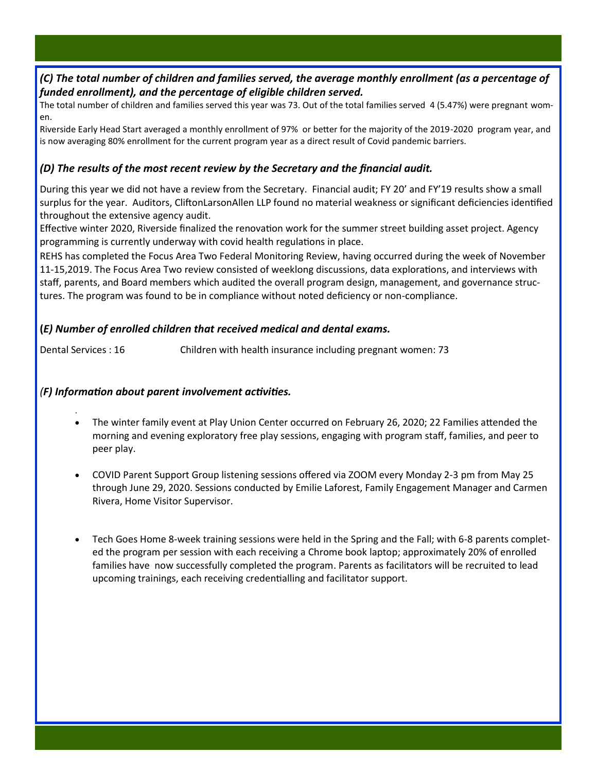#### *(C) The total number of children and families served, the average monthly enrollment (as a percentage of funded enrollment), and the percentage of eligible children served.*

The total number of children and families served this year was 73. Out of the total families served 4 (5.47%) were pregnant women.

Riverside Early Head Start averaged a monthly enrollment of 97% or better for the majority of the 2019-2020 program year, and is now averaging 80% enrollment for the current program year as a direct result of Covid pandemic barriers.

#### *(D) The results of the most recent review by the Secretary and the financial audit.*

During this year we did not have a review from the Secretary. Financial audit; FY 20' and FY'19 results show a small surplus for the year. Auditors, CliftonLarsonAllen LLP found no material weakness or significant deficiencies identified throughout the extensive agency audit.

Effective winter 2020, Riverside finalized the renovation work for the summer street building asset project. Agency programming is currently underway with covid health regulations in place.

REHS has completed the Focus Area Two Federal Monitoring Review, having occurred during the week of November 11-15,2019. The Focus Area Two review consisted of weeklong discussions, data explorations, and interviews with staff, parents, and Board members which audited the overall program design, management, and governance structures. The program was found to be in compliance without noted deficiency or non-compliance.

#### **(***E) Number of enrolled children that received medical and dental exams.*

Dental Services : 16 Children with health insurance including pregnant women: 73

#### *(F) Information about parent involvement activities.*

.

- The winter family event at Play Union Center occurred on February 26, 2020; 22 Families attended the morning and evening exploratory free play sessions, engaging with program staff, families, and peer to peer play.
- COVID Parent Support Group listening sessions offered via ZOOM every Monday 2-3 pm from May 25 through June 29, 2020. Sessions conducted by Emilie Laforest, Family Engagement Manager and Carmen Rivera, Home Visitor Supervisor.
- Tech Goes Home 8-week training sessions were held in the Spring and the Fall; with 6-8 parents completed the program per session with each receiving a Chrome book laptop; approximately 20% of enrolled families have now successfully completed the program. Parents as facilitators will be recruited to lead upcoming trainings, each receiving credentialling and facilitator support.